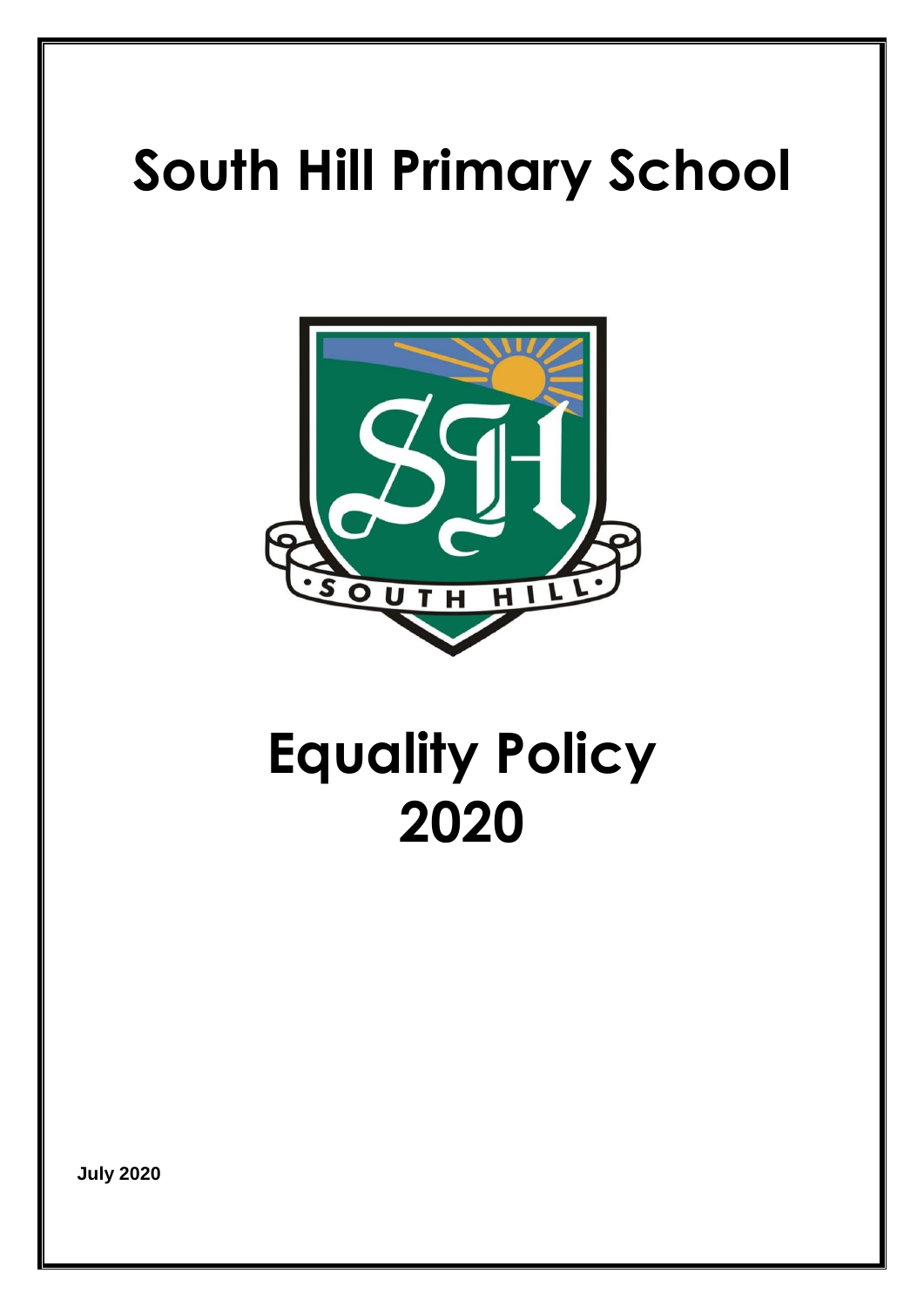# **South Hill Primary School**



## **Equality Policy 2020**

**July 2020**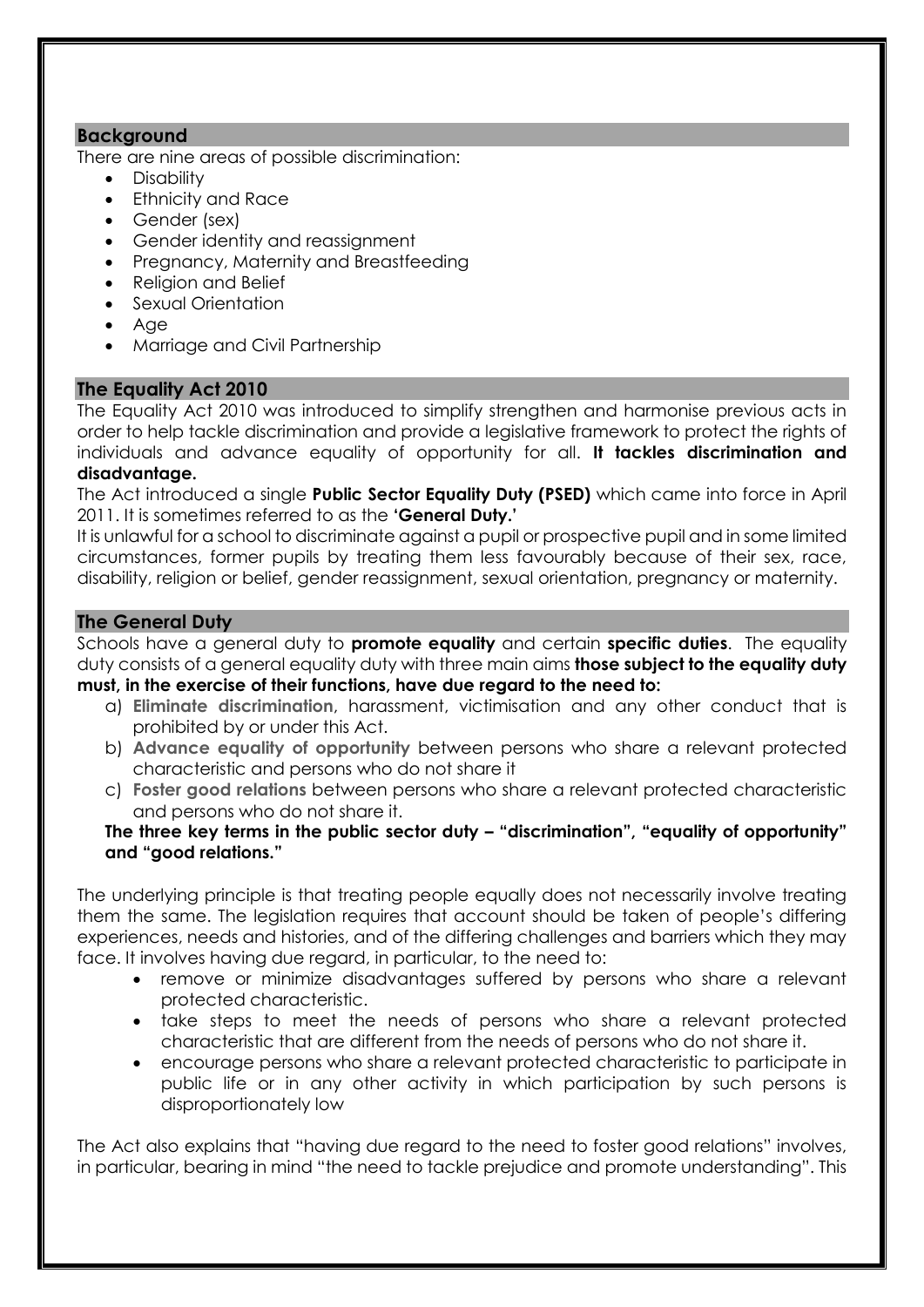#### **Background**

There are nine areas of possible discrimination:

- Disability
- Ethnicity and Race
- Gender (sex)
- Gender identity and reassignment
- Pregnancy, Maternity and Breastfeeding
- Religion and Belief
- Sexual Orientation
- Age
- Marriage and Civil Partnership

## **The Equality Act 2010**

The Equality Act 2010 was introduced to simplify strengthen and harmonise previous acts in order to help tackle discrimination and provide a legislative framework to protect the rights of individuals and advance equality of opportunity for all. **It tackles discrimination and disadvantage.**

The Act introduced a single **Public Sector Equality Duty (PSED)** which came into force in April 2011. It is sometimes referred to as the **'General Duty.'**

It is unlawful for a school to discriminate against a pupil or prospective pupil and in some limited circumstances, former pupils by treating them less favourably because of their sex, race, disability, religion or belief, gender reassignment, sexual orientation, pregnancy or maternity.

## **The General Duty**

Schools have a general duty to **promote equality** and certain **specific duties**. The equality duty consists of a general equality duty with three main aims **those subject to the equality duty must, in the exercise of their functions, have due regard to the need to:**

- a) **Eliminate discrimination**, harassment, victimisation and any other conduct that is prohibited by or under this Act.
- b) **Advance equality of opportunity** between persons who share a relevant protected characteristic and persons who do not share it
- c) **Foster good relations** between persons who share a relevant protected characteristic and persons who do not share it.

## **The three key terms in the public sector duty – "discrimination", "equality of opportunity" and "good relations."**

The underlying principle is that treating people equally does not necessarily involve treating them the same. The legislation requires that account should be taken of people's differing experiences, needs and histories, and of the differing challenges and barriers which they may face. It involves having due regard, in particular, to the need to:

- remove or minimize disadvantages suffered by persons who share a relevant protected characteristic.
- take steps to meet the needs of persons who share a relevant protected characteristic that are different from the needs of persons who do not share it.
- encourage persons who share a relevant protected characteristic to participate in public life or in any other activity in which participation by such persons is disproportionately low

The Act also explains that "having due regard to the need to foster good relations" involves, in particular, bearing in mind "the need to tackle prejudice and promote understanding". This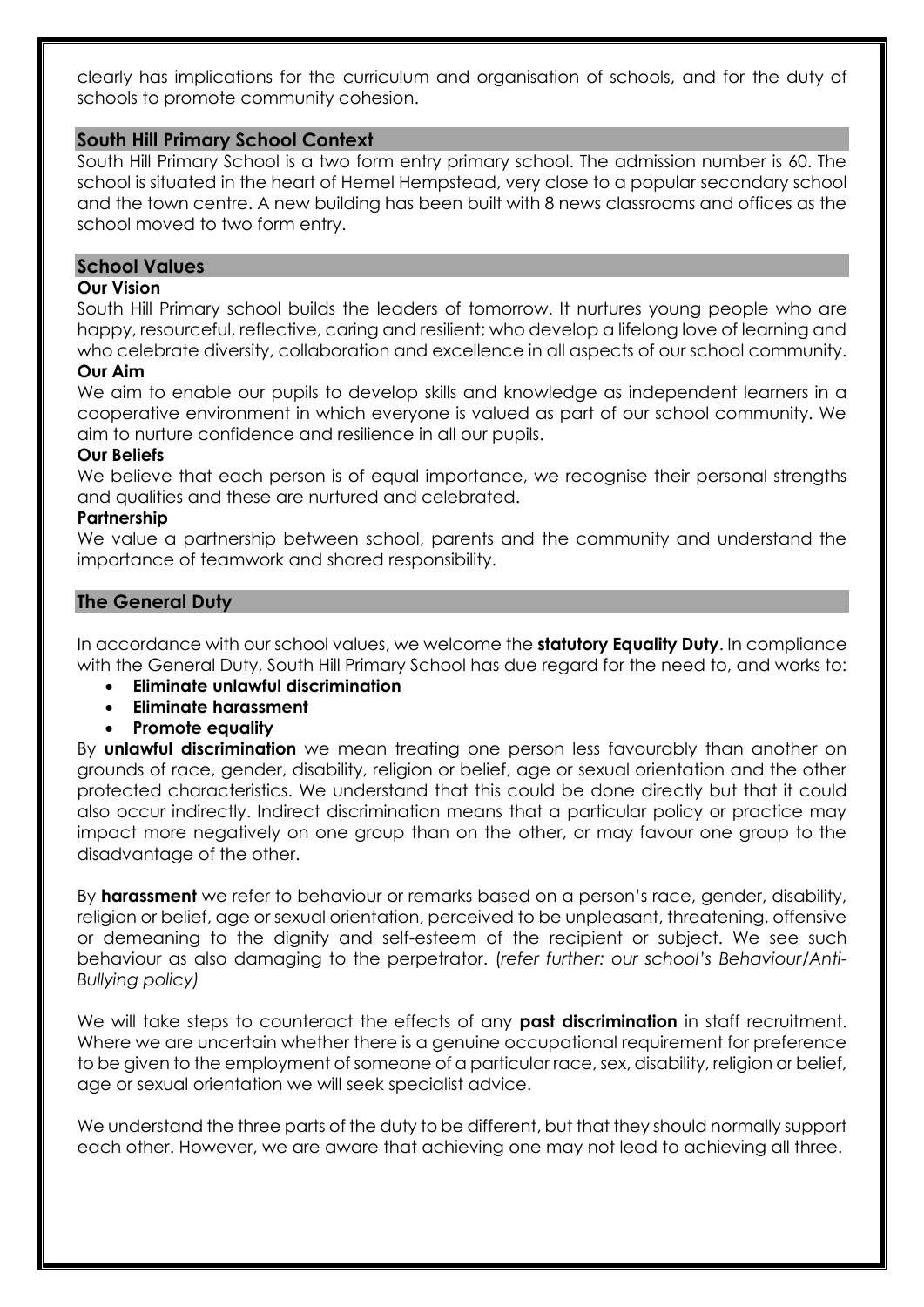clearly has implications for the curriculum and organisation of schools, and for the duty of schools to promote community cohesion.

#### **South Hill Primary School Context**

South Hill Primary School is a two form entry primary school. The admission number is 60. The school is situated in the heart of Hemel Hempstead, very close to a popular secondary school and the town centre. A new building has been built with 8 news classrooms and offices as the school moved to two form entry.

#### **School Values**

#### **Our Vision**

South Hill Primary school builds the leaders of tomorrow. It nurtures young people who are happy, resourceful, reflective, caring and resilient; who develop a lifelong love of learning and who celebrate diversity, collaboration and excellence in all aspects of our school community.

#### **Our Aim**

We aim to enable our pupils to develop skills and knowledge as independent learners in a cooperative environment in which everyone is valued as part of our school community. We aim to nurture confidence and resilience in all our pupils.

#### **Our Beliefs**

We believe that each person is of equal importance, we recognise their personal strengths and qualities and these are nurtured and celebrated.

#### **Partnership**

We value a partnership between school, parents and the community and understand the importance of teamwork and shared responsibility.

#### **The General Duty**

In accordance with our school values, we welcome the **statutory Equality Duty**. In compliance with the General Duty, South Hill Primary School has due regard for the need to, and works to:

- **Eliminate unlawful discrimination**
- **Eliminate harassment**
- **Promote equality**

By **unlawful discrimination** we mean treating one person less favourably than another on grounds of race, gender, disability, religion or belief, age or sexual orientation and the other protected characteristics. We understand that this could be done directly but that it could also occur indirectly. Indirect discrimination means that a particular policy or practice may impact more negatively on one group than on the other, or may favour one group to the disadvantage of the other.

By **harassment** we refer to behaviour or remarks based on a person's race, gender, disability, religion or belief, age or sexual orientation, perceived to be unpleasant, threatening, offensive or demeaning to the dignity and self-esteem of the recipient or subject. We see such behaviour as also damaging to the perpetrator. (*refer further: our school's Behaviour/Anti-Bullying policy)*

We will take steps to counteract the effects of any **past discrimination** in staff recruitment. Where we are uncertain whether there is a genuine occupational requirement for preference to be given to the employment of someone of a particular race, sex, disability, religion or belief, age or sexual orientation we will seek specialist advice.

We understand the three parts of the duty to be different, but that they should normally support each other. However, we are aware that achieving one may not lead to achieving all three.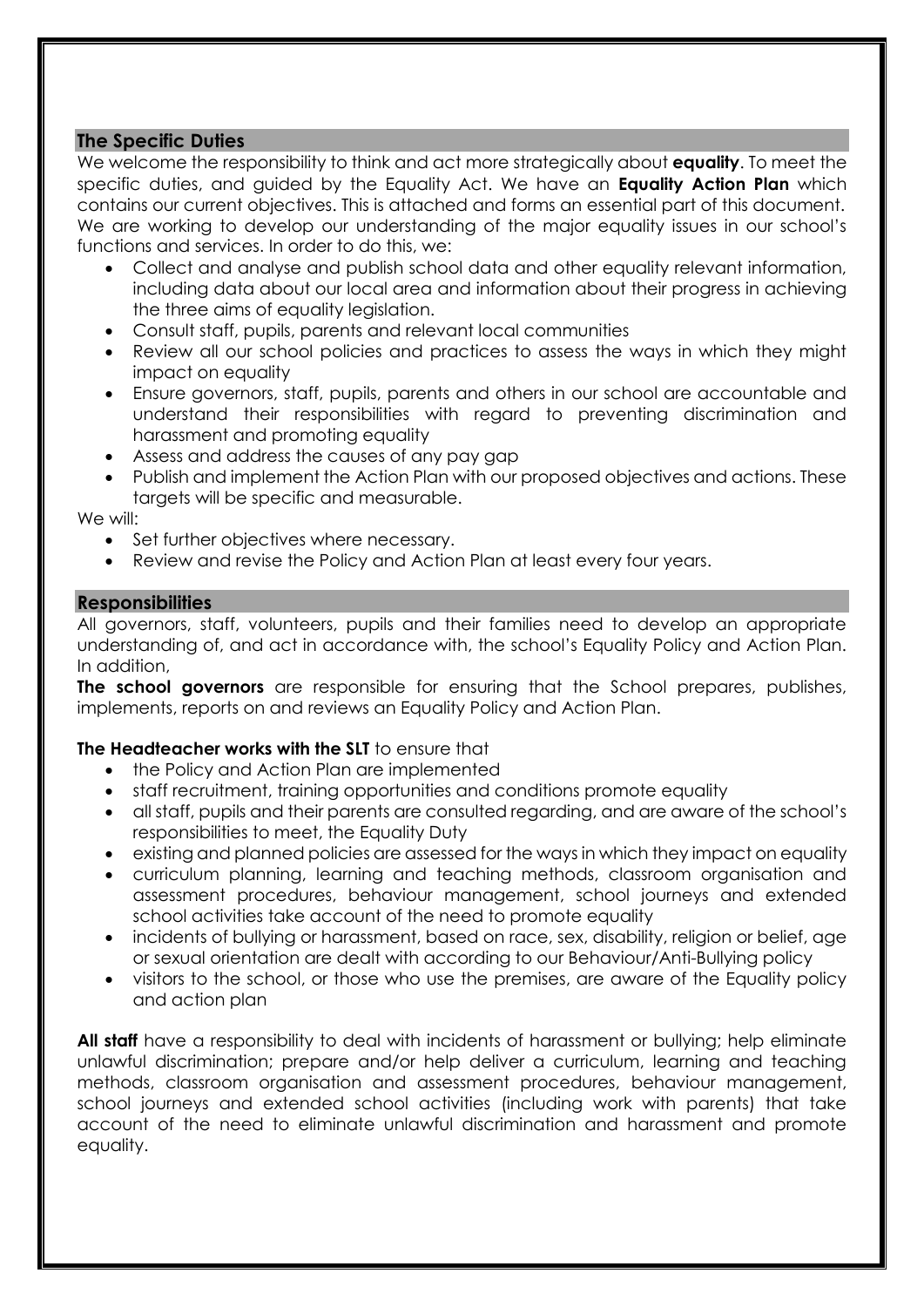#### **The Specific Duties**

We welcome the responsibility to think and act more strategically about **equality**. To meet the specific duties, and guided by the Equality Act. We have an **Equality Action Plan** which contains our current objectives. This is attached and forms an essential part of this document. We are working to develop our understanding of the major equality issues in our school's functions and services. In order to do this, we:

- Collect and analyse and publish school data and other equality relevant information, including data about our local area and information about their progress in achieving the three aims of equality legislation.
- Consult staff, pupils, parents and relevant local communities
- Review all our school policies and practices to assess the ways in which they might impact on equality
- Ensure governors, staff, pupils, parents and others in our school are accountable and understand their responsibilities with regard to preventing discrimination and harassment and promoting equality
- Assess and address the causes of any pay gap
- Publish and implement the Action Plan with our proposed objectives and actions. These targets will be specific and measurable.

We will:

- Set further objectives where necessary.
- Review and revise the Policy and Action Plan at least every four years.

#### **Responsibilities**

All governors, staff, volunteers, pupils and their families need to develop an appropriate understanding of, and act in accordance with, the school's Equality Policy and Action Plan. In addition,

**The school governors** are responsible for ensuring that the School prepares, publishes, implements, reports on and reviews an Equality Policy and Action Plan.

#### **The Headteacher works with the SLT** to ensure that

- the Policy and Action Plan are implemented
- staff recruitment, training opportunities and conditions promote equality
- all staff, pupils and their parents are consulted regarding, and are aware of the school's responsibilities to meet, the Equality Duty
- existing and planned policies are assessed for the ways in which they impact on equality
- curriculum planning, learning and teaching methods, classroom organisation and assessment procedures, behaviour management, school journeys and extended school activities take account of the need to promote equality
- incidents of bullying or harassment, based on race, sex, disability, religion or belief, age or sexual orientation are dealt with according to our Behaviour/Anti-Bullying policy
- visitors to the school, or those who use the premises, are aware of the Equality policy and action plan

**All staff** have a responsibility to deal with incidents of harassment or bullying; help eliminate unlawful discrimination; prepare and/or help deliver a curriculum, learning and teaching methods, classroom organisation and assessment procedures, behaviour management, school journeys and extended school activities (including work with parents) that take account of the need to eliminate unlawful discrimination and harassment and promote equality.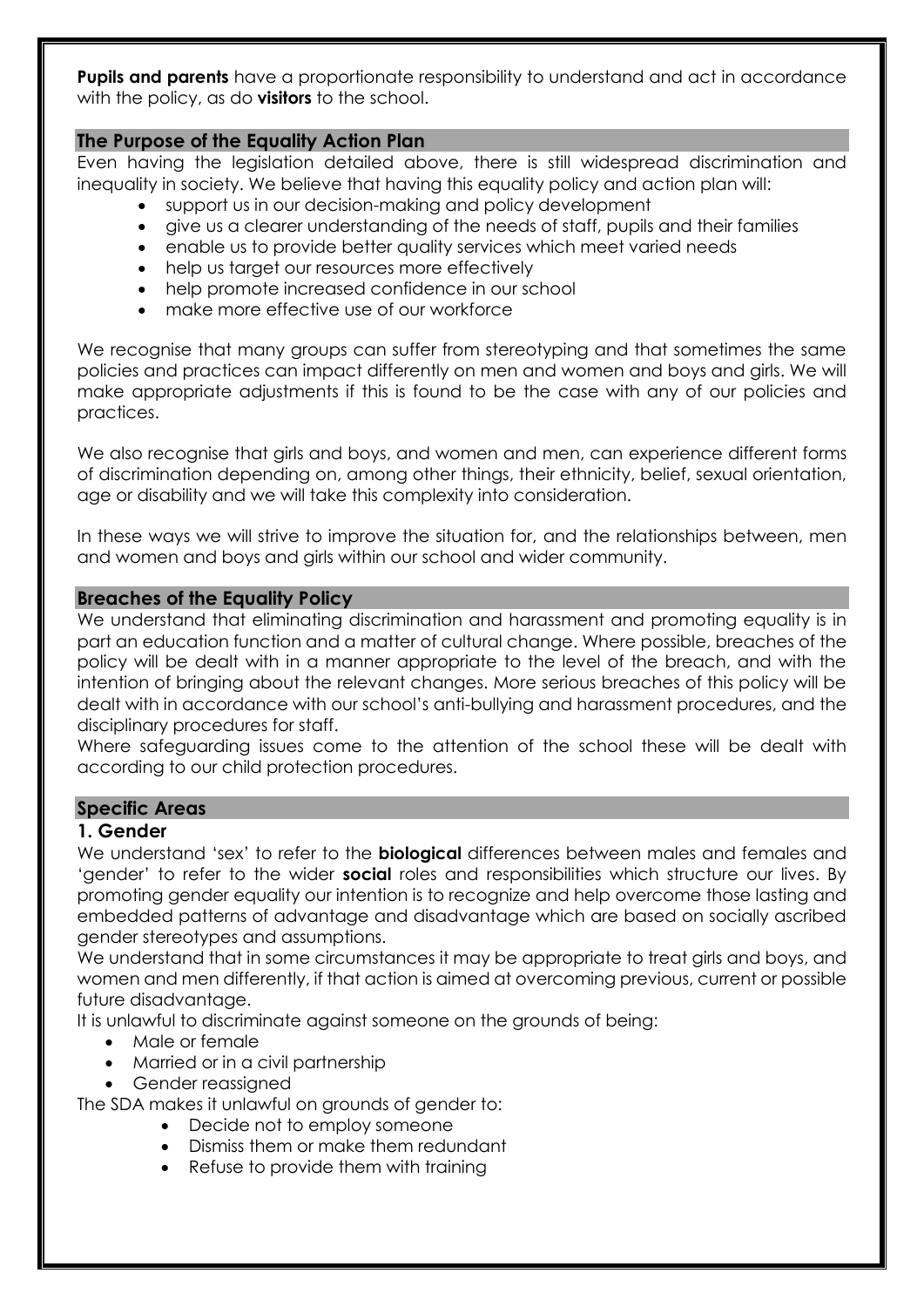**Pupils and parents** have a proportionate responsibility to understand and act in accordance with the policy, as do **visitors** to the school.

## **The Purpose of the Equality Action Plan**

Even having the legislation detailed above, there is still widespread discrimination and inequality in society. We believe that having this equality policy and action plan will:

- support us in our decision-making and policy development
- give us a clearer understanding of the needs of staff, pupils and their families
- enable us to provide better quality services which meet varied needs
- help us target our resources more effectively
- help promote increased confidence in our school
- make more effective use of our workforce

We recognise that many groups can suffer from stereotyping and that sometimes the same policies and practices can impact differently on men and women and boys and girls. We will make appropriate adjustments if this is found to be the case with any of our policies and practices.

We also recognise that girls and boys, and women and men, can experience different forms of discrimination depending on, among other things, their ethnicity, belief, sexual orientation, age or disability and we will take this complexity into consideration.

In these ways we will strive to improve the situation for, and the relationships between, men and women and boys and girls within our school and wider community.

#### **Breaches of the Equality Policy**

We understand that eliminating discrimination and harassment and promoting equality is in part an education function and a matter of cultural change. Where possible, breaches of the policy will be dealt with in a manner appropriate to the level of the breach, and with the intention of bringing about the relevant changes. More serious breaches of this policy will be dealt with in accordance with our school's anti-bullying and harassment procedures, and the disciplinary procedures for staff.

Where safeguarding issues come to the attention of the school these will be dealt with according to our child protection procedures.

## **Specific Areas**

#### **1. Gender**

We understand 'sex' to refer to the **biological** differences between males and females and 'gender' to refer to the wider **social** roles and responsibilities which structure our lives. By promoting gender equality our intention is to recognize and help overcome those lasting and embedded patterns of advantage and disadvantage which are based on socially ascribed gender stereotypes and assumptions.

We understand that in some circumstances it may be appropriate to treat girls and boys, and women and men differently, if that action is aimed at overcoming previous, current or possible future disadvantage.

It is unlawful to discriminate against someone on the grounds of being:

- Male or female
- Married or in a civil partnership
- Gender reassigned

The SDA makes it unlawful on grounds of gender to:

- Decide not to employ someone
- Dismiss them or make them redundant
- Refuse to provide them with training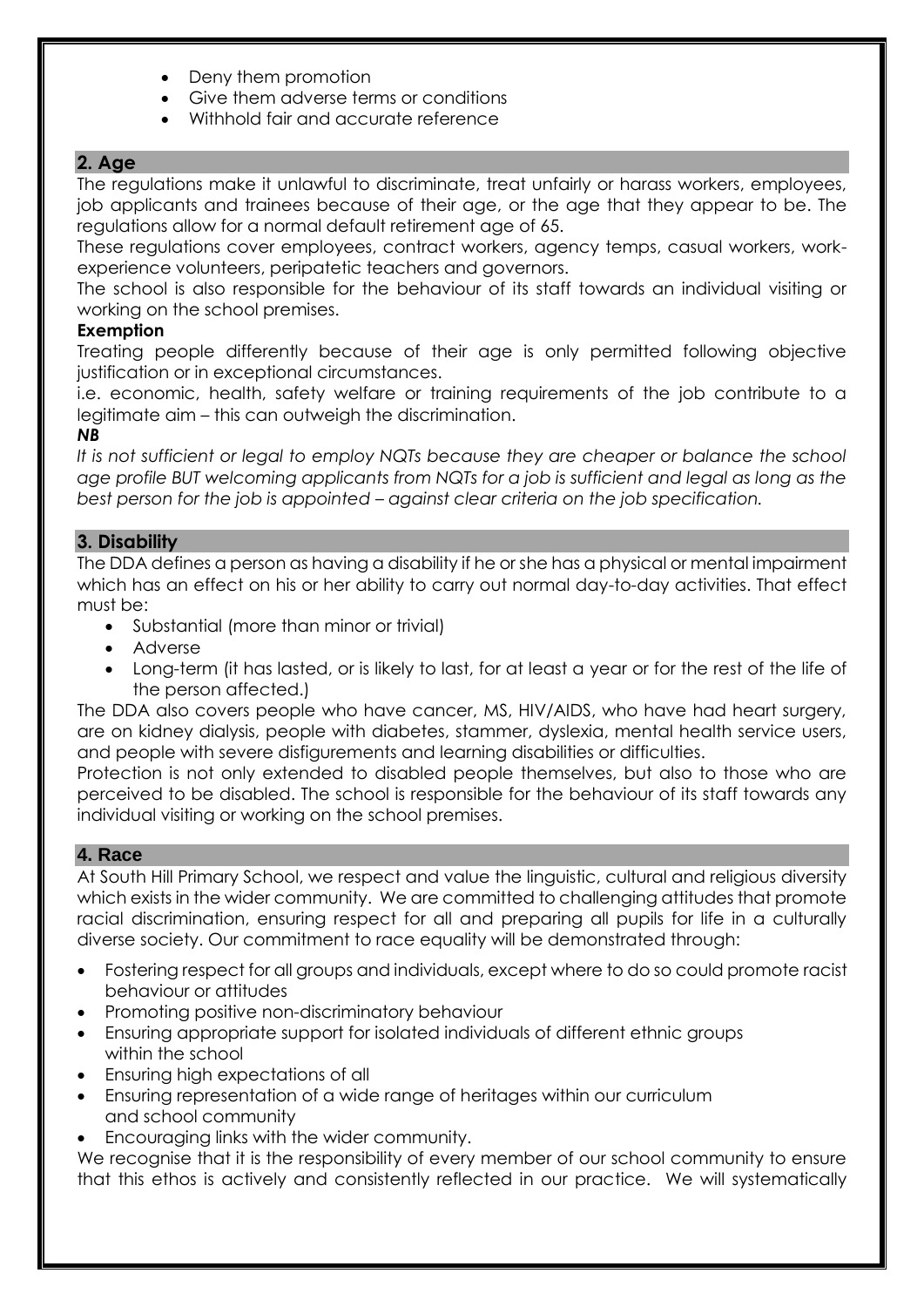- Deny them promotion
- Give them adverse terms or conditions
- Withhold fair and accurate reference

## **2. Age**

The regulations make it unlawful to discriminate, treat unfairly or harass workers, employees, job applicants and trainees because of their age, or the age that they appear to be. The regulations allow for a normal default retirement age of 65.

These regulations cover employees, contract workers, agency temps, casual workers, workexperience volunteers, peripatetic teachers and governors.

The school is also responsible for the behaviour of its staff towards an individual visiting or working on the school premises.

#### **Exemption**

Treating people differently because of their age is only permitted following objective justification or in exceptional circumstances.

i.e. economic, health, safety welfare or training requirements of the job contribute to a legitimate aim – this can outweigh the discrimination.

#### *NB*

*It is not sufficient or legal to employ NQTs because they are cheaper or balance the school age profile BUT welcoming applicants from NQTs for a job is sufficient and legal as long as the best person for the job is appointed – against clear criteria on the job specification.*

#### **3. Disability**

The DDA defines a person as having a disability if he or she has a physical or mental impairment which has an effect on his or her ability to carry out normal day-to-day activities. That effect must be:

- Substantial (more than minor or trivial)
- Adverse
- Long-term (it has lasted, or is likely to last, for at least a year or for the rest of the life of the person affected.)

The DDA also covers people who have cancer, MS, HIV/AIDS, who have had heart surgery, are on kidney dialysis, people with diabetes, stammer, dyslexia, mental health service users, and people with severe disfigurements and learning disabilities or difficulties.

Protection is not only extended to disabled people themselves, but also to those who are perceived to be disabled. The school is responsible for the behaviour of its staff towards any individual visiting or working on the school premises.

#### **4. Race**

At South Hill Primary School, we respect and value the linguistic, cultural and religious diversity which exists in the wider community. We are committed to challenging attitudes that promote racial discrimination, ensuring respect for all and preparing all pupils for life in a culturally diverse society. Our commitment to race equality will be demonstrated through:

- Fostering respect for all groups and individuals, except where to do so could promote racist behaviour or attitudes
- Promoting positive non-discriminatory behaviour
- Ensuring appropriate support for isolated individuals of different ethnic groups within the school
- Ensuring high expectations of all
- Ensuring representation of a wide range of heritages within our curriculum and school community
- Encouraging links with the wider community.

We recognise that it is the responsibility of every member of our school community to ensure that this ethos is actively and consistently reflected in our practice. We will systematically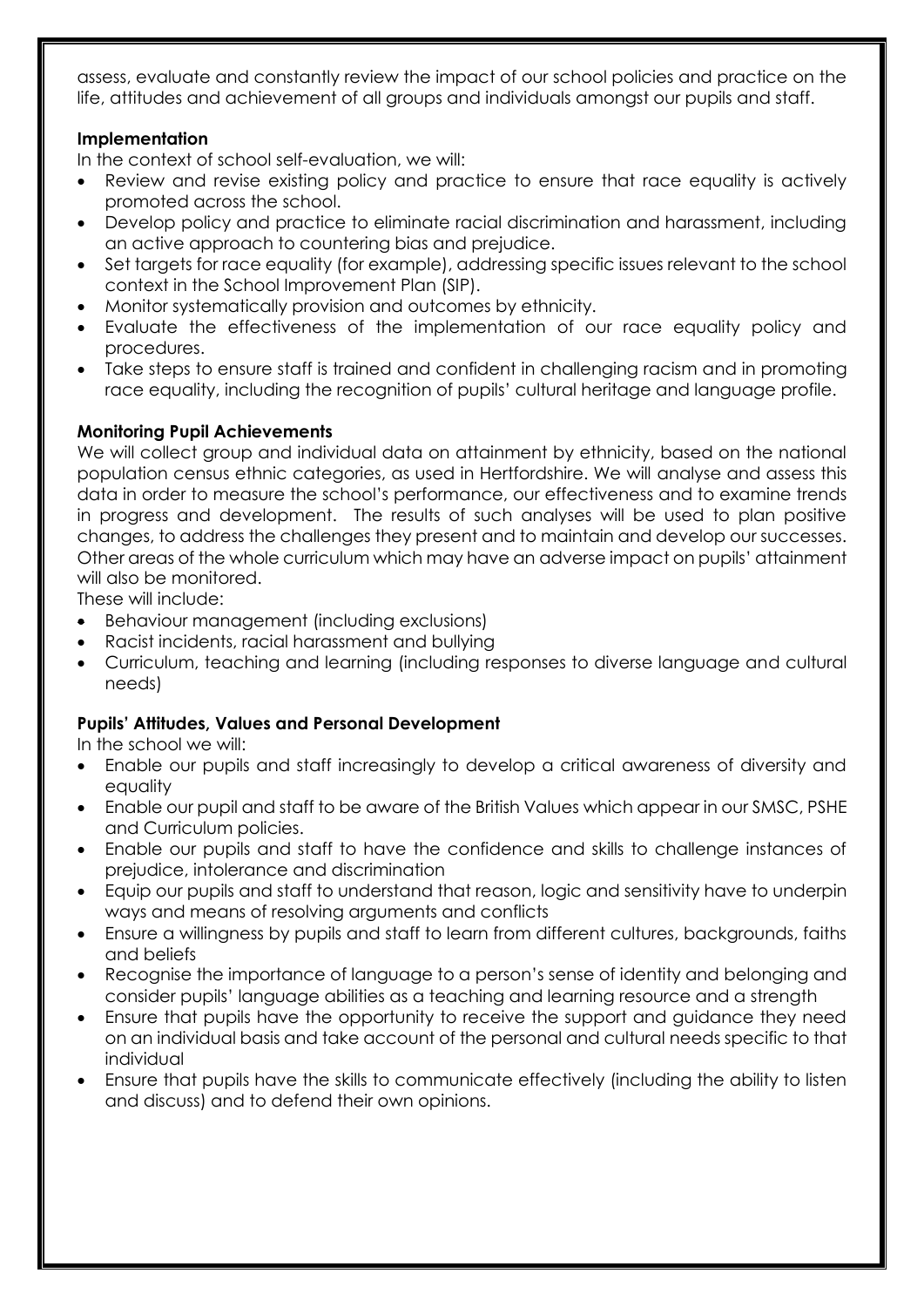assess, evaluate and constantly review the impact of our school policies and practice on the life, attitudes and achievement of all groups and individuals amongst our pupils and staff.

## **Implementation**

In the context of school self-evaluation, we will:

- Review and revise existing policy and practice to ensure that race equality is actively promoted across the school.
- Develop policy and practice to eliminate racial discrimination and harassment, including an active approach to countering bias and prejudice.
- Set targets for race equality (for example), addressing specific issues relevant to the school context in the School Improvement Plan (SIP).
- Monitor systematically provision and outcomes by ethnicity.
- Evaluate the effectiveness of the implementation of our race equality policy and procedures.
- Take steps to ensure staff is trained and confident in challenging racism and in promoting race equality, including the recognition of pupils' cultural heritage and language profile.

## **Monitoring Pupil Achievements**

We will collect group and individual data on attainment by ethnicity, based on the national population census ethnic categories, as used in Hertfordshire. We will analyse and assess this data in order to measure the school's performance, our effectiveness and to examine trends in progress and development. The results of such analyses will be used to plan positive changes, to address the challenges they present and to maintain and develop our successes. Other areas of the whole curriculum which may have an adverse impact on pupils' attainment will also be monitored.

These will include:

- Behaviour management (including exclusions)
- Racist incidents, racial harassment and bullying
- Curriculum, teaching and learning (including responses to diverse language and cultural needs)

## **Pupils' Attitudes, Values and Personal Development**

In the school we will:

- Enable our pupils and staff increasingly to develop a critical awareness of diversity and equality
- Enable our pupil and staff to be aware of the British Values which appear in our SMSC, PSHE and Curriculum policies.
- Enable our pupils and staff to have the confidence and skills to challenge instances of prejudice, intolerance and discrimination
- Equip our pupils and staff to understand that reason, logic and sensitivity have to underpin ways and means of resolving arguments and conflicts
- Ensure a willingness by pupils and staff to learn from different cultures, backgrounds, faiths and beliefs
- Recognise the importance of language to a person's sense of identity and belonging and consider pupils' language abilities as a teaching and learning resource and a strength
- Ensure that pupils have the opportunity to receive the support and guidance they need on an individual basis and take account of the personal and cultural needs specific to that individual
- Ensure that pupils have the skills to communicate effectively (including the ability to listen and discuss) and to defend their own opinions.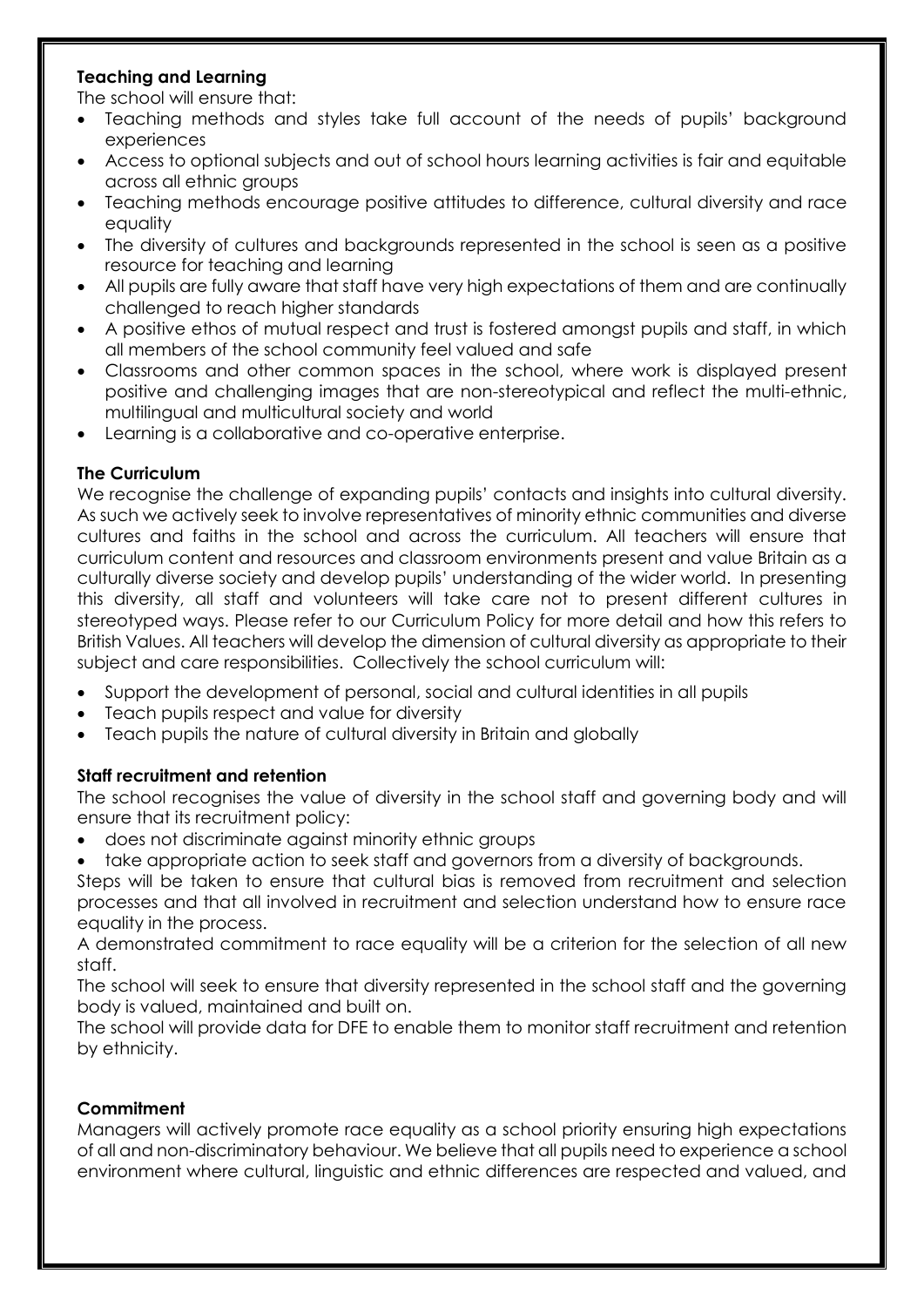## **Teaching and Learning**

The school will ensure that:

- Teaching methods and styles take full account of the needs of pupils' background experiences
- Access to optional subjects and out of school hours learning activities is fair and equitable across all ethnic groups
- Teaching methods encourage positive attitudes to difference, cultural diversity and race equality
- The diversity of cultures and backgrounds represented in the school is seen as a positive resource for teaching and learning
- All pupils are fully aware that staff have very high expectations of them and are continually challenged to reach higher standards
- A positive ethos of mutual respect and trust is fostered amongst pupils and staff, in which all members of the school community feel valued and safe
- Classrooms and other common spaces in the school, where work is displayed present positive and challenging images that are non-stereotypical and reflect the multi-ethnic, multilingual and multicultural society and world
- Learning is a collaborative and co-operative enterprise.

## **The Curriculum**

We recognise the challenge of expanding pupils' contacts and insights into cultural diversity. As such we actively seek to involve representatives of minority ethnic communities and diverse cultures and faiths in the school and across the curriculum. All teachers will ensure that curriculum content and resources and classroom environments present and value Britain as a culturally diverse society and develop pupils' understanding of the wider world. In presenting this diversity, all staff and volunteers will take care not to present different cultures in stereotyped ways. Please refer to our Curriculum Policy for more detail and how this refers to British Values. All teachers will develop the dimension of cultural diversity as appropriate to their subject and care responsibilities. Collectively the school curriculum will:

- Support the development of personal, social and cultural identities in all pupils
- Teach pupils respect and value for diversity
- Teach pupils the nature of cultural diversity in Britain and globally

## **Staff recruitment and retention**

The school recognises the value of diversity in the school staff and governing body and will ensure that its recruitment policy:

- does not discriminate against minority ethnic groups
- take appropriate action to seek staff and governors from a diversity of backgrounds.

Steps will be taken to ensure that cultural bias is removed from recruitment and selection processes and that all involved in recruitment and selection understand how to ensure race equality in the process.

A demonstrated commitment to race equality will be a criterion for the selection of all new staff.

The school will seek to ensure that diversity represented in the school staff and the governing body is valued, maintained and built on.

The school will provide data for DFE to enable them to monitor staff recruitment and retention by ethnicity.

## **Commitment**

Managers will actively promote race equality as a school priority ensuring high expectations of all and non-discriminatory behaviour. We believe that all pupils need to experience a school environment where cultural, linguistic and ethnic differences are respected and valued, and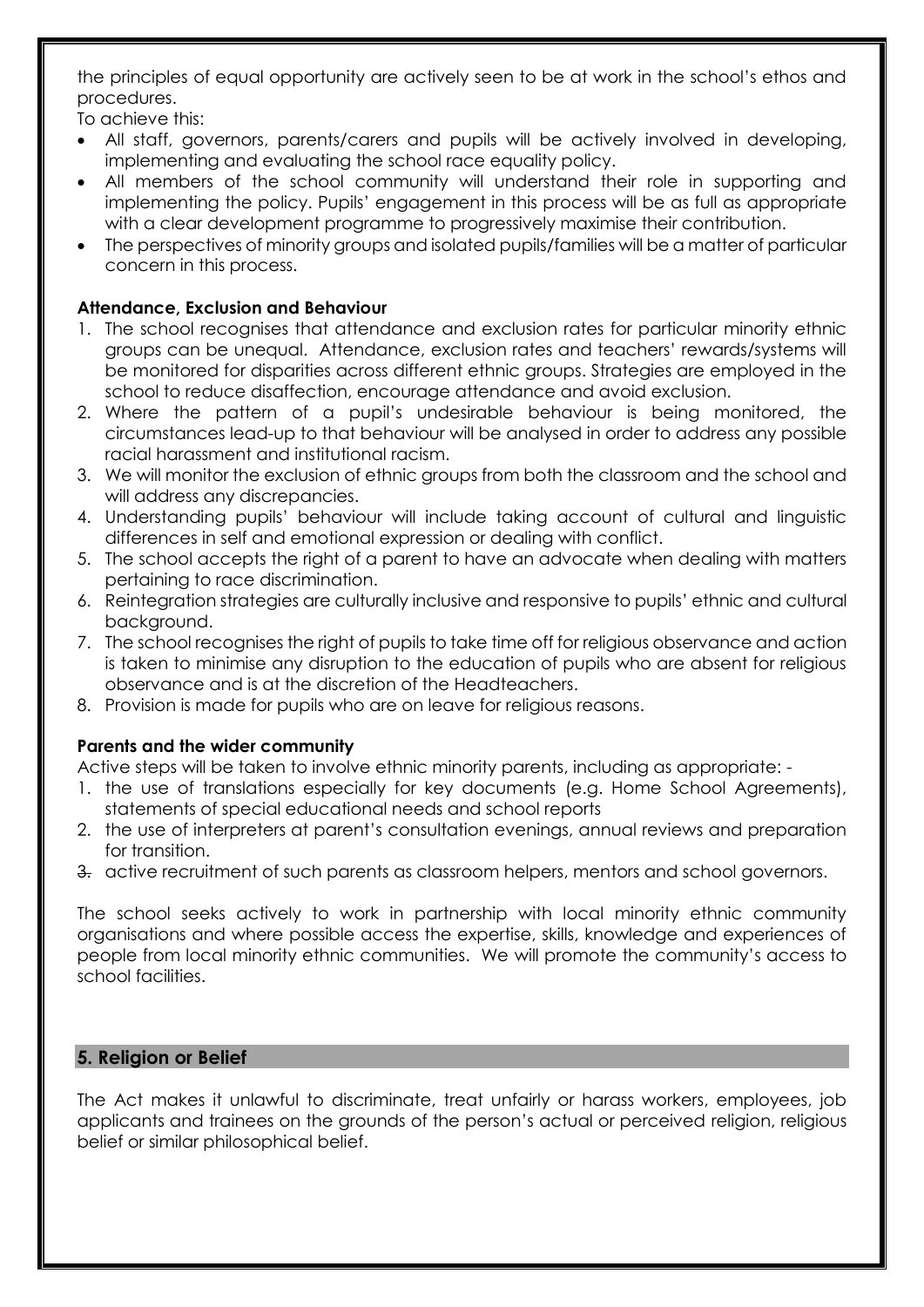the principles of equal opportunity are actively seen to be at work in the school's ethos and procedures.

To achieve this:

- All staff, governors, parents/carers and pupils will be actively involved in developing, implementing and evaluating the school race equality policy.
- All members of the school community will understand their role in supporting and implementing the policy. Pupils' engagement in this process will be as full as appropriate with a clear development programme to progressively maximise their contribution.
- The perspectives of minority groups and isolated pupils/families will be a matter of particular concern in this process.

## **Attendance, Exclusion and Behaviour**

- 1. The school recognises that attendance and exclusion rates for particular minority ethnic groups can be unequal. Attendance, exclusion rates and teachers' rewards/systems will be monitored for disparities across different ethnic groups. Strategies are employed in the school to reduce disaffection, encourage attendance and avoid exclusion.
- 2. Where the pattern of a pupil's undesirable behaviour is being monitored, the circumstances lead-up to that behaviour will be analysed in order to address any possible racial harassment and institutional racism.
- 3. We will monitor the exclusion of ethnic groups from both the classroom and the school and will address any discrepancies.
- 4. Understanding pupils' behaviour will include taking account of cultural and linguistic differences in self and emotional expression or dealing with conflict.
- 5. The school accepts the right of a parent to have an advocate when dealing with matters pertaining to race discrimination.
- 6. Reintegration strategies are culturally inclusive and responsive to pupils' ethnic and cultural background.
- 7. The school recognises the right of pupils to take time off for religious observance and action is taken to minimise any disruption to the education of pupils who are absent for religious observance and is at the discretion of the Headteachers.
- 8. Provision is made for pupils who are on leave for religious reasons.

## **Parents and the wider community**

Active steps will be taken to involve ethnic minority parents, including as appropriate: -

- 1. the use of translations especially for key documents (e.g. Home School Agreements), statements of special educational needs and school reports
- 2. the use of interpreters at parent's consultation evenings, annual reviews and preparation for transition.
- 3. active recruitment of such parents as classroom helpers, mentors and school governors.

The school seeks actively to work in partnership with local minority ethnic community organisations and where possible access the expertise, skills, knowledge and experiences of people from local minority ethnic communities. We will promote the community's access to school facilities.

## **5. Religion or Belief**

The Act makes it unlawful to discriminate, treat unfairly or harass workers, employees, job applicants and trainees on the grounds of the person's actual or perceived religion, religious belief or similar philosophical belief.